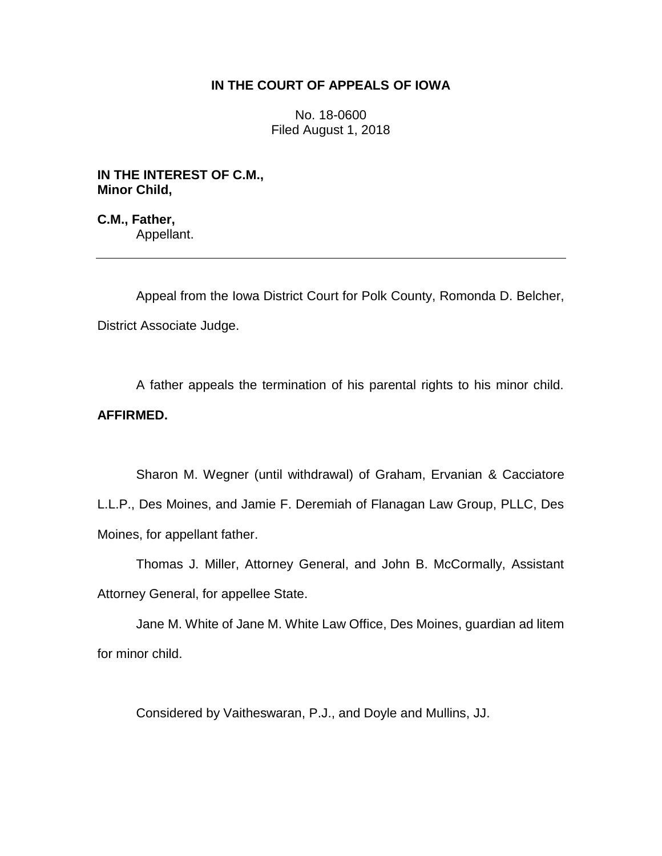## **IN THE COURT OF APPEALS OF IOWA**

No. 18-0600 Filed August 1, 2018

**IN THE INTEREST OF C.M., Minor Child,**

**C.M., Father,** Appellant.

Appeal from the Iowa District Court for Polk County, Romonda D. Belcher, District Associate Judge.

A father appeals the termination of his parental rights to his minor child. **AFFIRMED.** 

Sharon M. Wegner (until withdrawal) of Graham, Ervanian & Cacciatore L.L.P., Des Moines, and Jamie F. Deremiah of Flanagan Law Group, PLLC, Des Moines, for appellant father.

Thomas J. Miller, Attorney General, and John B. McCormally, Assistant Attorney General, for appellee State.

Jane M. White of Jane M. White Law Office, Des Moines, guardian ad litem for minor child.

Considered by Vaitheswaran, P.J., and Doyle and Mullins, JJ.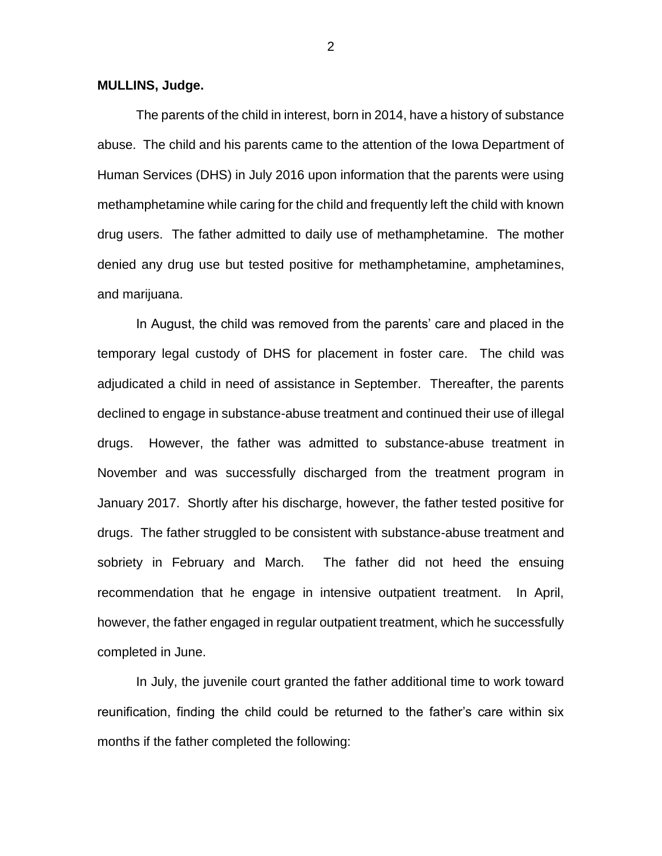**MULLINS, Judge.**

The parents of the child in interest, born in 2014, have a history of substance abuse. The child and his parents came to the attention of the Iowa Department of Human Services (DHS) in July 2016 upon information that the parents were using methamphetamine while caring for the child and frequently left the child with known drug users. The father admitted to daily use of methamphetamine. The mother denied any drug use but tested positive for methamphetamine, amphetamines, and marijuana.

In August, the child was removed from the parents' care and placed in the temporary legal custody of DHS for placement in foster care. The child was adjudicated a child in need of assistance in September. Thereafter, the parents declined to engage in substance-abuse treatment and continued their use of illegal drugs. However, the father was admitted to substance-abuse treatment in November and was successfully discharged from the treatment program in January 2017. Shortly after his discharge, however, the father tested positive for drugs. The father struggled to be consistent with substance-abuse treatment and sobriety in February and March. The father did not heed the ensuing recommendation that he engage in intensive outpatient treatment. In April, however, the father engaged in regular outpatient treatment, which he successfully completed in June.

In July, the juvenile court granted the father additional time to work toward reunification, finding the child could be returned to the father's care within six months if the father completed the following:

2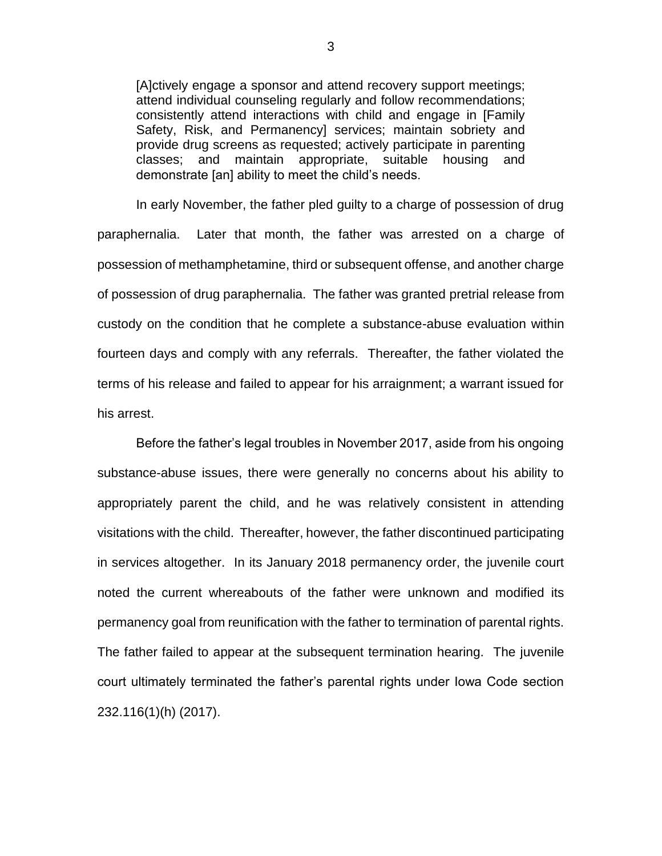[A]ctively engage a sponsor and attend recovery support meetings; attend individual counseling regularly and follow recommendations; consistently attend interactions with child and engage in [Family Safety, Risk, and Permanency] services; maintain sobriety and provide drug screens as requested; actively participate in parenting classes; and maintain appropriate, suitable housing and demonstrate [an] ability to meet the child's needs.

In early November, the father pled guilty to a charge of possession of drug paraphernalia. Later that month, the father was arrested on a charge of possession of methamphetamine, third or subsequent offense, and another charge of possession of drug paraphernalia. The father was granted pretrial release from custody on the condition that he complete a substance-abuse evaluation within fourteen days and comply with any referrals. Thereafter, the father violated the terms of his release and failed to appear for his arraignment; a warrant issued for his arrest.

Before the father's legal troubles in November 2017, aside from his ongoing substance-abuse issues, there were generally no concerns about his ability to appropriately parent the child, and he was relatively consistent in attending visitations with the child. Thereafter, however, the father discontinued participating in services altogether. In its January 2018 permanency order, the juvenile court noted the current whereabouts of the father were unknown and modified its permanency goal from reunification with the father to termination of parental rights. The father failed to appear at the subsequent termination hearing. The juvenile court ultimately terminated the father's parental rights under Iowa Code section 232.116(1)(h) (2017).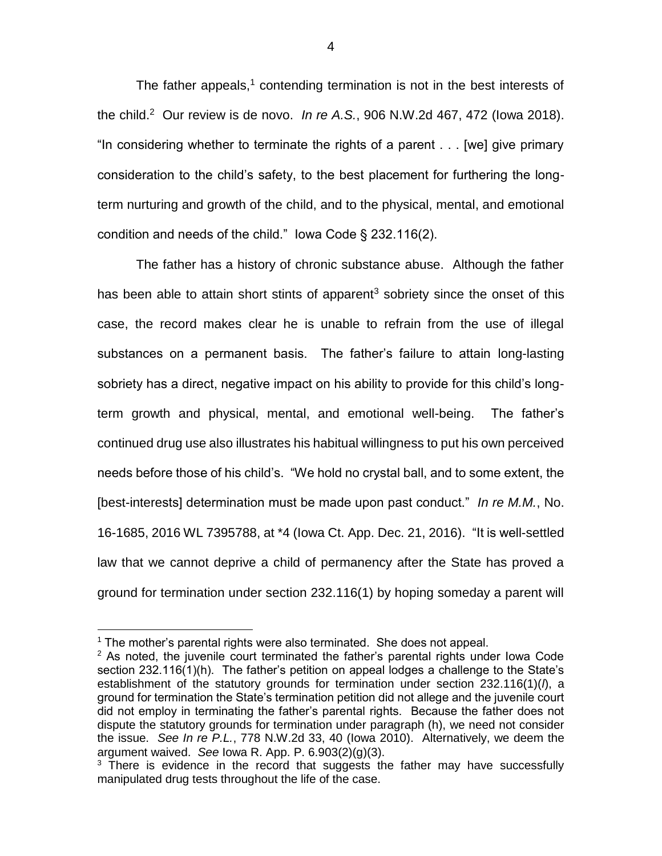The father appeals, $1$  contending termination is not in the best interests of the child.<sup>2</sup> Our review is de novo. *In re A.S.*, 906 N.W.2d 467, 472 (Iowa 2018). "In considering whether to terminate the rights of a parent . . . [we] give primary consideration to the child's safety, to the best placement for furthering the longterm nurturing and growth of the child, and to the physical, mental, and emotional condition and needs of the child." Iowa Code § 232.116(2).

The father has a history of chronic substance abuse. Although the father has been able to attain short stints of apparent<sup>3</sup> sobriety since the onset of this case, the record makes clear he is unable to refrain from the use of illegal substances on a permanent basis. The father's failure to attain long-lasting sobriety has a direct, negative impact on his ability to provide for this child's longterm growth and physical, mental, and emotional well-being. The father's continued drug use also illustrates his habitual willingness to put his own perceived needs before those of his child's. "We hold no crystal ball, and to some extent, the [best-interests] determination must be made upon past conduct." *In re M.M.*, No. 16-1685, 2016 WL 7395788, at \*4 (Iowa Ct. App. Dec. 21, 2016). "It is well-settled law that we cannot deprive a child of permanency after the State has proved a ground for termination under section 232.116(1) by hoping someday a parent will

 $\overline{a}$ 

4

 $1$  The mother's parental rights were also terminated. She does not appeal.

 $2$  As noted, the juvenile court terminated the father's parental rights under lowa Code section 232.116(1)(h). The father's petition on appeal lodges a challenge to the State's establishment of the statutory grounds for termination under section 232.116(1)(*l*), a ground for termination the State's termination petition did not allege and the juvenile court did not employ in terminating the father's parental rights. Because the father does not dispute the statutory grounds for termination under paragraph (h), we need not consider the issue. *See In re P.L.*, 778 N.W.2d 33, 40 (Iowa 2010). Alternatively, we deem the argument waived. *See* Iowa R. App. P. 6.903(2)(g)(3).

 $3$  There is evidence in the record that suggests the father may have successfully manipulated drug tests throughout the life of the case.